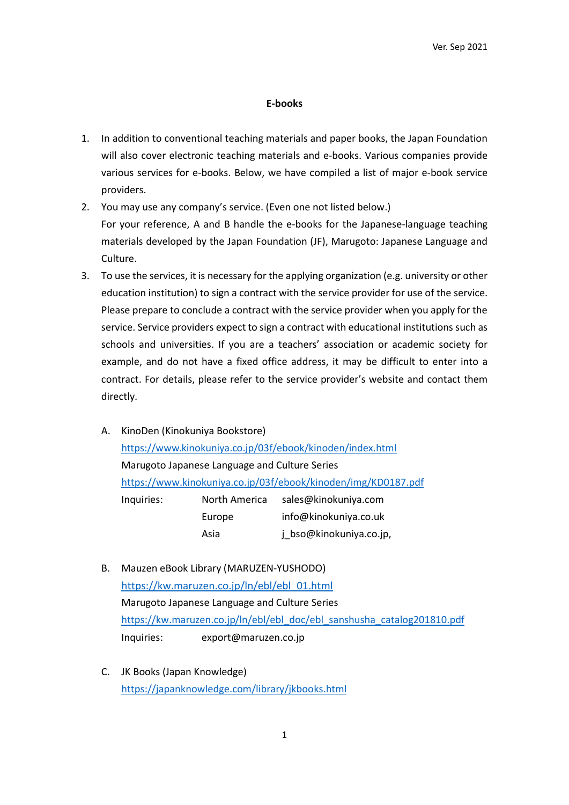## E-books

- 1. In addition to conventional teaching materials and paper books, the Japan Foundation will also cover electronic teaching materials and e-books. Various companies provide various services for e-books. Below, we have compiled a list of major e-book service providers.
- 2. You may use any company's service. (Even one not listed below.) For your reference, A and B handle the e-books for the Japanese-language teaching materials developed by the Japan Foundation (JF), Marugoto: Japanese Language and Culture.
- 3. To use the services, it is necessary for the applying organization (e.g. university or other education institution) to sign a contract with the service provider for use of the service. Please prepare to conclude a contract with the service provider when you apply for the service. Service providers expect to sign a contract with educational institutions such as schools and universities. If you are a teachers' association or academic society for example, and do not have a fixed office address, it may be difficult to enter into a contract. For details, please refer to the service provider's website and contact them directly.
	- A. KinoDen (Kinokuniya Bookstore) https://www.kinokuniya.co.jp/03f/ebook/kinoden/index.html Marugoto Japanese Language and Culture Series https://www.kinokuniya.co.jp/03f/ebook/kinoden/img/KD0187.pdf Inquiries: North America sales@kinokuniya.com Europe info@kinokuniya.co.uk Asia jpthso@kinokuniya.co.jp,
	- B. Mauzen eBook Library (MARUZEN-YUSHODO) https://kw.maruzen.co.jp/ln/ebl/ebl\_01.html Marugoto Japanese Language and Culture Series https://kw.maruzen.co.jp/ln/ebl/ebl\_doc/ebl\_sanshusha\_catalog201810.pdf Inquiries: export@maruzen.co.jp
	- C. JK Books (Japan Knowledge) https://japanknowledge.com/library/jkbooks.html